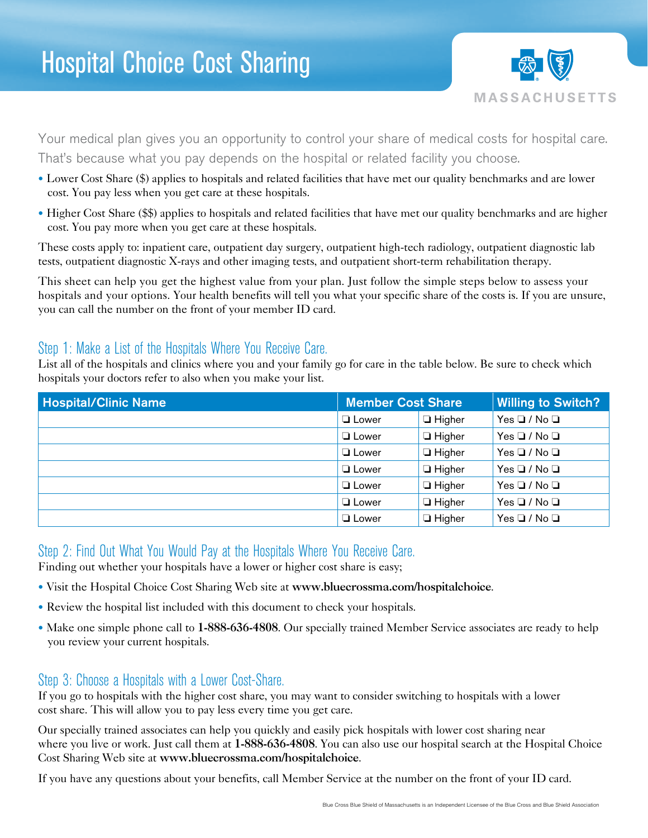

Your medical plan gives you an opportunity to control your share of medical costs for hospital care. That's because what you pay depends on the hospital or related facility you choose.

- Lower Cost Share (\$) applies to hospitals and related facilities that have met our quality benchmarks and are lower cost. You pay less when you get care at these hospitals.
- Higher Cost Share (\$\$) applies to hospitals and related facilities that have met our quality benchmarks and are higher cost. You pay more when you get care at these hospitals.

These costs apply to: inpatient care, outpatient day surgery, outpatient high-tech radiology, outpatient diagnostic lab tests, outpatient diagnostic X-rays and other imaging tests, and outpatient short-term rehabilitation therapy.

This sheet can help you get the highest value from your plan. Just follow the simple steps below to assess your hospitals and your options. Your health benefits will tell you what your specific share of the costs is. If you are unsure, you can call the number on the front of your member ID card.

## Step 1: Make a List of the Hospitals Where You Receive Care.

List all of the hospitals and clinics where you and your family go for care in the table below. Be sure to check which hospitals your doctors refer to also when you make your list.

| <b>Hospital/Clinic Name</b> | <b>Member Cost Share</b> |               | <b>Willing to Switch?</b> |
|-----------------------------|--------------------------|---------------|---------------------------|
|                             | $\Box$ Lower             | $\Box$ Higher | $Yes \Box / No \Box$      |
|                             | $\Box$ Lower             | $\Box$ Higher | $Yes \Box / No \Box$      |
|                             | $\Box$ Lower             | $\Box$ Higher | $Yes \Box / No \Box$      |
|                             | $\Box$ Lower             | $\Box$ Higher | $Yes \Box / No \Box$      |
|                             | $\Box$ Lower             | $\Box$ Higher | $Yes \Box / No \Box$      |
|                             | $\Box$ Lower             | $\Box$ Higher | $Yes \Box / No \Box$      |
|                             | $\Box$ Lower             | $\Box$ Higher | $Yes \Box / No \Box$      |

## Step 2: Find Out What You Would Pay at the Hospitals Where You Receive Care.

Finding out whether your hospitals have a lower or higher cost share is easy;

- • Visit the Hospital Choice Cost Sharing Web site at www.bluecrossma.com/hospitalchoice.
- Review the hospital list included with this document to check your hospitals.
- Make one simple phone call to 1-888-636-4808. Our specially trained Member Service associates are ready to help you review your current hospitals.

## Step 3: Choose a Hospitals with a Lower Cost-Share.

If you go to hospitals with the higher cost share, you may want to consider switching to hospitals with a lower cost share. This will allow you to pay less every time you get care.

Our specially trained associates can help you quickly and easily pick hospitals with lower cost sharing near where you live or work. Just call them at 1-888-636-4808. You can also use our hospital search at the Hospital Choice Cost Sharing Web site at www.bluecrossma.com/hospitalchoice.

If you have any questions about your benefits, call Member Service at the number on the front of your ID card.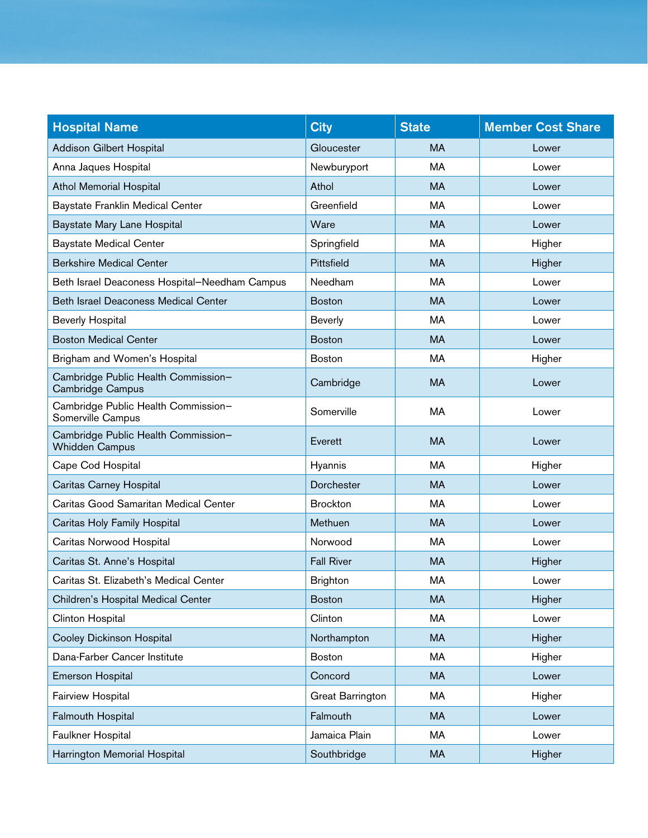| <b>Hospital Name</b>                                         | <b>City</b>             | <b>State</b> | <b>Member Cost Share</b> |
|--------------------------------------------------------------|-------------------------|--------------|--------------------------|
| <b>Addison Gilbert Hospital</b>                              | Gloucester              | <b>MA</b>    | Lower                    |
| Anna Jaques Hospital                                         | Newburyport             | MA           | Lower                    |
| <b>Athol Memorial Hospital</b>                               | Athol                   | <b>MA</b>    | Lower                    |
| <b>Baystate Franklin Medical Center</b>                      | Greenfield              | MA           | Lower                    |
| Baystate Mary Lane Hospital                                  | Ware                    | <b>MA</b>    | Lower                    |
| <b>Baystate Medical Center</b>                               | Springfield             | MA           | Higher                   |
| <b>Berkshire Medical Center</b>                              | Pittsfield              | <b>MA</b>    | Higher                   |
| Beth Israel Deaconess Hospital-Needham Campus                | Needham                 | MA           | Lower                    |
| <b>Beth Israel Deaconess Medical Center</b>                  | <b>Boston</b>           | <b>MA</b>    | Lower                    |
| <b>Beverly Hospital</b>                                      | <b>Beverly</b>          | MA           | Lower                    |
| <b>Boston Medical Center</b>                                 | <b>Boston</b>           | <b>MA</b>    | Lower                    |
| Brigham and Women's Hospital                                 | <b>Boston</b>           | MA           | Higher                   |
| Cambridge Public Health Commission-<br>Cambridge Campus      | Cambridge               | <b>MA</b>    | Lower                    |
| Cambridge Public Health Commission-<br>Somerville Campus     | Somerville              | MA           | Lower                    |
| Cambridge Public Health Commission-<br><b>Whidden Campus</b> | Everett                 | <b>MA</b>    | Lower                    |
| Cape Cod Hospital                                            | Hyannis                 | <b>MA</b>    | Higher                   |
| Caritas Carney Hospital                                      | Dorchester              | <b>MA</b>    | Lower                    |
| Caritas Good Samaritan Medical Center                        | <b>Brockton</b>         | MA           | Lower                    |
| Caritas Holy Family Hospital                                 | Methuen                 | <b>MA</b>    | Lower                    |
| Caritas Norwood Hospital                                     | Norwood                 | MA           | Lower                    |
| Caritas St. Anne's Hospital                                  | <b>Fall River</b>       | <b>MA</b>    | Higher                   |
| Caritas St. Elizabeth's Medical Center                       | <b>Brighton</b>         | MA           | Lower                    |
| Children's Hospital Medical Center                           | <b>Boston</b>           | <b>MA</b>    | Higher                   |
| Clinton Hospital                                             | Clinton                 | MA           | Lower                    |
| Cooley Dickinson Hospital                                    | Northampton             | MA           | Higher                   |
| Dana-Farber Cancer Institute                                 | <b>Boston</b>           | MA           | Higher                   |
| <b>Emerson Hospital</b>                                      | Concord                 | MA           | Lower                    |
| Fairview Hospital                                            | <b>Great Barrington</b> | MA           | Higher                   |
| <b>Falmouth Hospital</b>                                     | Falmouth                | <b>MA</b>    | Lower                    |
| Faulkner Hospital                                            | Jamaica Plain           | MA           | Lower                    |
| Harrington Memorial Hospital                                 | Southbridge             | MA           | Higher                   |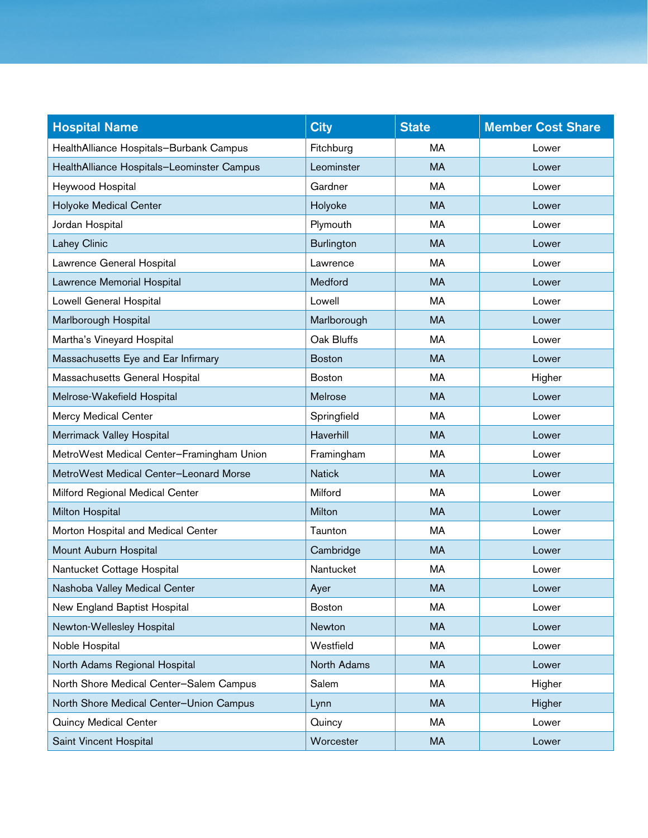| <b>Hospital Name</b>                       | <b>City</b>       | <b>State</b> | <b>Member Cost Share</b> |
|--------------------------------------------|-------------------|--------------|--------------------------|
| HealthAlliance Hospitals-Burbank Campus    | Fitchburg         | MA           | Lower                    |
| HealthAlliance Hospitals-Leominster Campus | Leominster        | <b>MA</b>    | Lower                    |
| Heywood Hospital                           | Gardner           | MA           | Lower                    |
| <b>Holyoke Medical Center</b>              | Holyoke           | <b>MA</b>    | Lower                    |
| Jordan Hospital                            | Plymouth          | MA           | Lower                    |
| Lahey Clinic                               | <b>Burlington</b> | <b>MA</b>    | Lower                    |
| Lawrence General Hospital                  | Lawrence          | MA           | Lower                    |
| Lawrence Memorial Hospital                 | Medford           | <b>MA</b>    | Lower                    |
| Lowell General Hospital                    | Lowell            | MA           | Lower                    |
| Marlborough Hospital                       | Marlborough       | <b>MA</b>    | Lower                    |
| Martha's Vineyard Hospital                 | Oak Bluffs        | МA           | Lower                    |
| Massachusetts Eye and Ear Infirmary        | <b>Boston</b>     | <b>MA</b>    | Lower                    |
| Massachusetts General Hospital             | <b>Boston</b>     | МA           | Higher                   |
| Melrose-Wakefield Hospital                 | Melrose           | <b>MA</b>    | Lower                    |
| <b>Mercy Medical Center</b>                | Springfield       | МA           | Lower                    |
| Merrimack Valley Hospital                  | Haverhill         | <b>MA</b>    | Lower                    |
| MetroWest Medical Center-Framingham Union  | Framingham        | MA           | Lower                    |
| MetroWest Medical Center-Leonard Morse     | <b>Natick</b>     | <b>MA</b>    | Lower                    |
| Milford Regional Medical Center            | Milford           | MA           | Lower                    |
| <b>Milton Hospital</b>                     | Milton            | <b>MA</b>    | Lower                    |
| Morton Hospital and Medical Center         | Taunton           | MA           | Lower                    |
| Mount Auburn Hospital                      | Cambridge         | <b>MA</b>    | Lower                    |
| Nantucket Cottage Hospital                 | Nantucket         | MA           | Lower                    |
| Nashoba Valley Medical Center              | Ayer              | MA           | Lower                    |
| New England Baptist Hospital               | <b>Boston</b>     | МA           | Lower                    |
| Newton-Wellesley Hospital                  | Newton            | <b>MA</b>    | Lower                    |
| Noble Hospital                             | Westfield         | MA           | Lower                    |
| North Adams Regional Hospital              | North Adams       | <b>MA</b>    | Lower                    |
| North Shore Medical Center-Salem Campus    | Salem             | MA           | Higher                   |
| North Shore Medical Center-Union Campus    | Lynn              | <b>MA</b>    | Higher                   |
| <b>Quincy Medical Center</b>               | Quincy            | MA           | Lower                    |
| Saint Vincent Hospital                     | Worcester         | MA           | Lower                    |